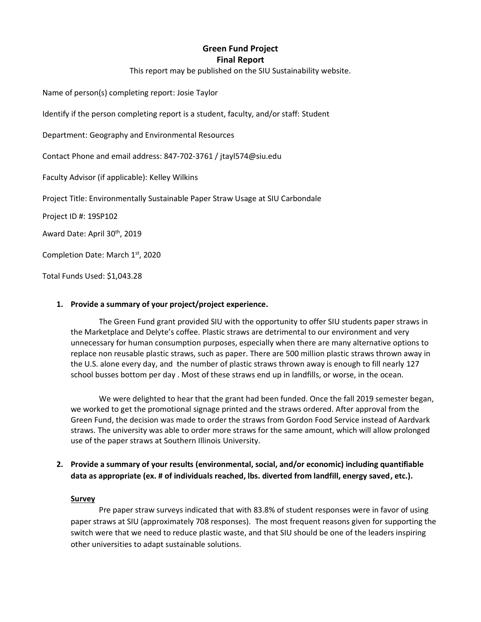# **Green Fund Project Final Report**

This report may be published on the SIU Sustainability website.

Name of person(s) completing report: Josie Taylor

Identify if the person completing report is a student, faculty, and/or staff: Student

Department: Geography and Environmental Resources

Contact Phone and email address: 847-702-3761 / jtayl574@siu.edu

Faculty Advisor (if applicable): Kelley Wilkins

Project Title: Environmentally Sustainable Paper Straw Usage at SIU Carbondale

Project ID #: 19SP102

Award Date: April 30th, 2019

Completion Date: March 1st, 2020

Total Funds Used: \$1,043.28

## **1. Provide a summary of your project/project experience.**

The Green Fund grant provided SIU with the opportunity to offer SIU students paper straws in the Marketplace and Delyte's coffee. Plastic straws are detrimental to our environment and very unnecessary for human consumption purposes, especially when there are many alternative options to replace non reusable plastic straws, such as paper. There are 500 million plastic straws thrown away in the U.S. alone every day, and the number of plastic straws thrown away is enough to fill nearly 127 school busses bottom per day . Most of these straws end up in landfills, or worse, in the ocean.

We were delighted to hear that the grant had been funded. Once the fall 2019 semester began, we worked to get the promotional signage printed and the straws ordered. After approval from the Green Fund, the decision was made to order the straws from Gordon Food Service instead of Aardvark straws. The university was able to order more straws for the same amount, which will allow prolonged use of the paper straws at Southern Illinois University.

## **2. Provide a summary of your results (environmental, social, and/or economic) including quantifiable data as appropriate (ex. # of individuals reached, lbs. diverted from landfill, energy saved, etc.).**

#### **Survey**

Pre paper straw surveys indicated that with 83.8% of student responses were in favor of using paper straws at SIU (approximately 708 responses). The most frequent reasons given for supporting the switch were that we need to reduce plastic waste, and that SIU should be one of the leaders inspiring other universities to adapt sustainable solutions.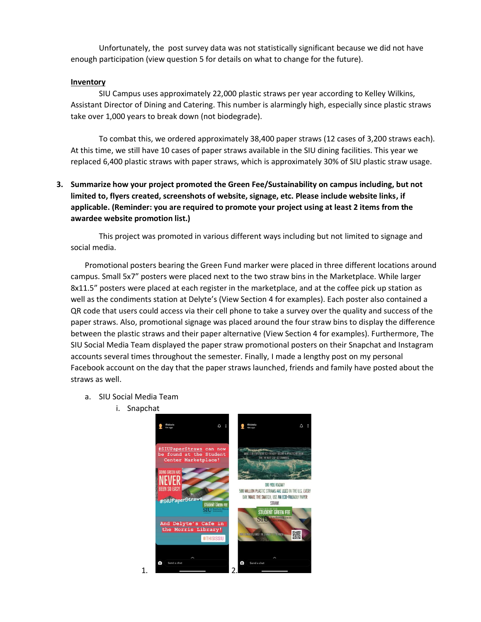Unfortunately, the post survey data was not statistically significant because we did not have enough participation (view question 5 for details on what to change for the future).

### **Inventory**

SIU Campus uses approximately 22,000 plastic straws per year according to Kelley Wilkins, Assistant Director of Dining and Catering. This number is alarmingly high, especially since plastic straws take over 1,000 years to break down (not biodegrade).

To combat this, we ordered approximately 38,400 paper straws (12 cases of 3,200 straws each). At this time, we still have 10 cases of paper straws available in the SIU dining facilities. This year we replaced 6,400 plastic straws with paper straws, which is approximately 30% of SIU plastic straw usage.

# **3. Summarize how your project promoted the Green Fee/Sustainability on campus including, but not limited to, flyers created, screenshots of website, signage, etc. Please include website links, if applicable. (Reminder: you are required to promote your project using at least 2 items from the awardee website promotion list.)**

This project was promoted in various different ways including but not limited to signage and social media.

Promotional posters bearing the Green Fund marker were placed in three different locations around campus. Small 5x7" posters were placed next to the two straw bins in the Marketplace. While larger 8x11.5" posters were placed at each register in the marketplace, and at the coffee pick up station as well as the condiments station at Delyte's (View Section 4 for examples). Each poster also contained a QR code that users could access via their cell phone to take a survey over the quality and success of the paper straws. Also, promotional signage was placed around the four straw bins to display the difference between the plastic straws and their paper alternative (View Section 4 for examples). Furthermore, The SIU Social Media Team displayed the paper straw promotional posters on their Snapchat and Instagram accounts several times throughout the semester. Finally, I made a lengthy post on my personal Facebook account on the day that the paper straws launched, friends and family have posted about the straws as well.

- a. SIU Social Media Team
	- i. Snapchat

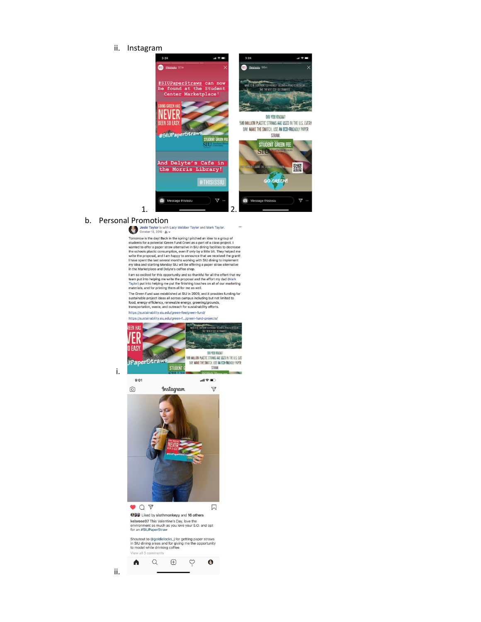ii. Instagram



 $\ddot{\phantom{a}}$ 

**b.** Personal Promotion<br> **b.** Josie Taylor is with Lacy Webber Taylor and Mark Taylor.<br> **b.** October 13, 2019 - **L**iv

Ciction in 3, 2019 -  $\pm x$  with the spring I pitched an idea to a group of<br>students for a potential Green Fund Grant as a part of a class project. It<br>wanted to offer a paper straw alternative in SU dining facilities to de

I am so excited for this opportunity and so thankful for all the effort that my pain into helping me write the proposal and the effort my dad (Mark Taylor) put into helping me put the finishing touches on all of our marke

The Green Fund was established at SIU in 2009, and it provides funding for<br>sustainable project ideas all across campus including but out limited to<br>food, energy efficiency, renewable energy, greening/grounds,<br>transportatio

https://sustainability.siu.edu/green-fee/green-fund/



ii.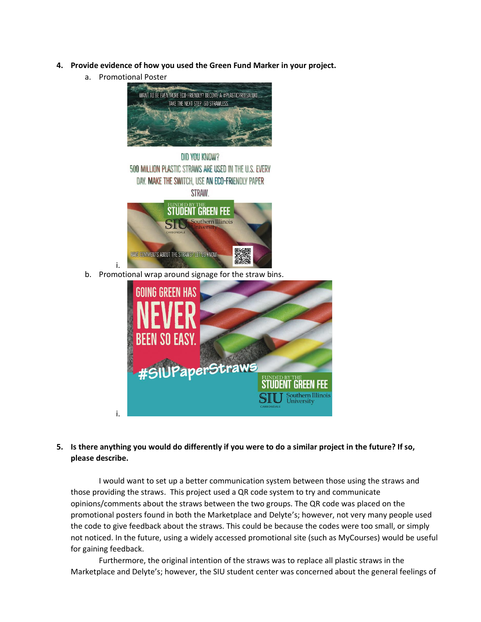- **4. Provide evidence of how you used the Green Fund Marker in your project.** 
	- a. Promotional Poster

i.



| DID YOU KNOW?                                           |  |
|---------------------------------------------------------|--|
| 500 MILLION PLASTIC STRAWS ARE USED IN THE U.S. EVERY   |  |
| DAY. MAKE THE SWITCH, USE AN ECO-FRIENDLY PAPER         |  |
| STRAW.                                                  |  |
| <b>STUDENT GREEN FEE</b>                                |  |
| <b>STU</b> Southern Illinois<br>niversity<br>CARRONDALE |  |
| HAVE COMMENTS ABOUT THE STRAWS? LET US KNOW:            |  |

b. Promotional wrap around signage for the straw bins.



**5. Is there anything you would do differently if you were to do a similar project in the future? If so, please describe.** 

I would want to set up a better communication system between those using the straws and those providing the straws. This project used a QR code system to try and communicate opinions/comments about the straws between the two groups. The QR code was placed on the promotional posters found in both the Marketplace and Delyte's; however, not very many people used the code to give feedback about the straws. This could be because the codes were too small, or simply not noticed. In the future, using a widely accessed promotional site (such as MyCourses) would be useful for gaining feedback.

Furthermore, the original intention of the straws was to replace all plastic straws in the Marketplace and Delyte's; however, the SIU student center was concerned about the general feelings of